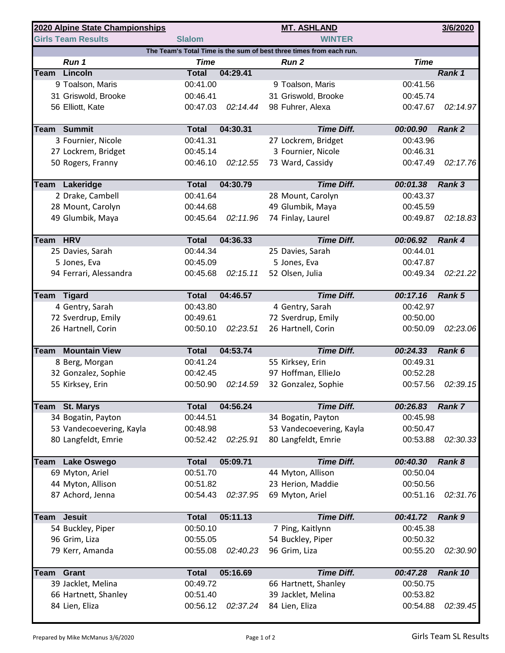| 2020 Alpine State Championships                                     |                                       |                          |          | <b>MT. ASHLAND</b>                    |                      | 3/6/2020      |  |  |  |  |  |
|---------------------------------------------------------------------|---------------------------------------|--------------------------|----------|---------------------------------------|----------------------|---------------|--|--|--|--|--|
|                                                                     | <b>Girls Team Results</b>             | <b>Slalom</b>            |          | <b>WINTER</b>                         |                      |               |  |  |  |  |  |
| The Team's Total Time is the sum of best three times from each run. |                                       |                          |          |                                       |                      |               |  |  |  |  |  |
|                                                                     | Run 1                                 | <b>Time</b>              |          | Run <sub>2</sub>                      | <b>Time</b>          |               |  |  |  |  |  |
| Team                                                                | Lincoln                               | <b>Total</b>             | 04:29.41 |                                       |                      | Rank 1        |  |  |  |  |  |
|                                                                     | 9 Toalson, Maris                      | 00:41.00                 |          | 9 Toalson, Maris                      | 00:41.56             |               |  |  |  |  |  |
|                                                                     | 31 Griswold, Brooke                   | 00:46.41                 |          | 31 Griswold, Brooke                   | 00:45.74             |               |  |  |  |  |  |
|                                                                     | 56 Elliott, Kate                      | 00:47.03                 | 02:14.44 | 98 Fuhrer, Alexa                      | 00:47.67             | 02:14.97      |  |  |  |  |  |
|                                                                     | <b>Team Summit</b>                    | <b>Total</b>             | 04:30.31 | <b>Time Diff.</b>                     | 00:00.90             | <b>Rank 2</b> |  |  |  |  |  |
|                                                                     | 3 Fournier, Nicole                    | 00:41.31                 |          | 27 Lockrem, Bridget                   | 00:43.96             |               |  |  |  |  |  |
|                                                                     | 27 Lockrem, Bridget                   | 00:45.14                 |          | 3 Fournier, Nicole                    | 00:46.31             |               |  |  |  |  |  |
|                                                                     | 50 Rogers, Franny                     | 00:46.10                 | 02:12.55 | 73 Ward, Cassidy                      | 00:47.49             | 02:17.76      |  |  |  |  |  |
|                                                                     |                                       |                          |          |                                       |                      |               |  |  |  |  |  |
|                                                                     | Team Lakeridge<br>2 Drake, Cambell    | <b>Total</b><br>00:41.64 | 04:30.79 | <b>Time Diff.</b>                     | 00:01.38             | Rank 3        |  |  |  |  |  |
|                                                                     | 28 Mount, Carolyn                     | 00:44.68                 |          | 28 Mount, Carolyn<br>49 Glumbik, Maya | 00:43.37<br>00:45.59 |               |  |  |  |  |  |
|                                                                     | 49 Glumbik, Maya                      | 00:45.64                 | 02:11.96 | 74 Finlay, Laurel                     | 00:49.87             | 02:18.83      |  |  |  |  |  |
|                                                                     |                                       |                          |          |                                       |                      |               |  |  |  |  |  |
| Team HRV                                                            |                                       | <b>Total</b>             | 04:36.33 | <b>Time Diff.</b>                     | 00:06.92             | Rank 4        |  |  |  |  |  |
|                                                                     | 25 Davies, Sarah                      | 00:44.34                 |          | 25 Davies, Sarah                      | 00:44.01             |               |  |  |  |  |  |
|                                                                     | 5 Jones, Eva                          | 00:45.09                 |          | 5 Jones, Eva                          | 00:47.87             |               |  |  |  |  |  |
|                                                                     | 94 Ferrari, Alessandra                | 00:45.68                 | 02:15.11 | 52 Olsen, Julia                       | 00:49.34             | 02:21.22      |  |  |  |  |  |
|                                                                     |                                       | <b>Total</b>             | 04:46.57 | <b>Time Diff.</b>                     | 00:17.16             | Rank 5        |  |  |  |  |  |
|                                                                     | <b>Team Tigard</b><br>4 Gentry, Sarah | 00:43.80                 |          | 4 Gentry, Sarah                       | 00:42.97             |               |  |  |  |  |  |
|                                                                     | 72 Sverdrup, Emily                    | 00:49.61                 |          | 72 Sverdrup, Emily                    | 00:50.00             |               |  |  |  |  |  |
|                                                                     | 26 Hartnell, Corin                    | 00:50.10                 | 02:23.51 | 26 Hartnell, Corin                    | 00:50.09             | 02:23.06      |  |  |  |  |  |
|                                                                     |                                       |                          |          |                                       |                      |               |  |  |  |  |  |
| <b>Team</b>                                                         | <b>Mountain View</b>                  | <b>Total</b>             | 04:53.74 | <b>Time Diff.</b>                     | 00:24.33             | Rank 6        |  |  |  |  |  |
|                                                                     | 8 Berg, Morgan                        | 00:41.24                 |          | 55 Kirksey, Erin                      | 00:49.31             |               |  |  |  |  |  |
|                                                                     | 32 Gonzalez, Sophie                   | 00:42.45                 |          | 97 Hoffman, EllieJo                   | 00:52.28             |               |  |  |  |  |  |
|                                                                     | 55 Kirksey, Erin                      | 00:50.90                 | 02:14.59 | 32 Gonzalez, Sophie                   | 00:57.56             | 02:39.15      |  |  |  |  |  |
| Team                                                                | <b>St. Marys</b>                      | <b>Total</b>             | 04:56.24 | <b>Time Diff.</b>                     | 00:26.83             | <b>Rank 7</b> |  |  |  |  |  |
|                                                                     | 34 Bogatin, Payton                    | 00:44.51                 |          | 34 Bogatin, Payton                    | 00:45.98             |               |  |  |  |  |  |
|                                                                     | 53 Vandecoevering, Kayla              | 00:48.98                 |          | 53 Vandecoevering, Kayla              | 00:50.47             |               |  |  |  |  |  |
|                                                                     | 80 Langfeldt, Emrie                   | 00:52.42                 | 02:25.91 | 80 Langfeldt, Emrie                   | 00:53.88             | 02:30.33      |  |  |  |  |  |
|                                                                     |                                       |                          |          |                                       |                      |               |  |  |  |  |  |
| Team                                                                | <b>Lake Oswego</b>                    | <b>Total</b>             | 05:09.71 | <b>Time Diff.</b>                     | 00:40.30             | Rank 8        |  |  |  |  |  |
|                                                                     | 69 Myton, Ariel                       | 00:51.70                 |          | 44 Myton, Allison                     | 00:50.04             |               |  |  |  |  |  |
|                                                                     | 44 Myton, Allison                     | 00:51.82                 |          | 23 Herion, Maddie                     | 00:50.56             |               |  |  |  |  |  |
|                                                                     | 87 Achord, Jenna                      | 00:54.43                 | 02:37.95 | 69 Myton, Ariel                       | 00:51.16             | 02:31.76      |  |  |  |  |  |
|                                                                     | <b>Team</b> Jesuit                    | <b>Total</b>             | 05:11.13 | <b>Time Diff.</b>                     | 00:41.72             | Rank 9        |  |  |  |  |  |
|                                                                     | 54 Buckley, Piper                     | 00:50.10                 |          | 7 Ping, Kaitlynn                      | 00:45.38             |               |  |  |  |  |  |
|                                                                     | 96 Grim, Liza                         | 00:55.05                 |          | 54 Buckley, Piper                     | 00:50.32             |               |  |  |  |  |  |
|                                                                     | 79 Kerr, Amanda                       | 00:55.08                 | 02:40.23 | 96 Grim, Liza                         | 00:55.20             | 02:30.90      |  |  |  |  |  |
|                                                                     |                                       |                          |          |                                       |                      |               |  |  |  |  |  |
| Team                                                                | Grant                                 | <b>Total</b>             | 05:16.69 | <b>Time Diff.</b>                     | 00:47.28             | Rank 10       |  |  |  |  |  |
|                                                                     | 39 Jacklet, Melina                    | 00:49.72                 |          | 66 Hartnett, Shanley                  | 00:50.75             |               |  |  |  |  |  |
|                                                                     | 66 Hartnett, Shanley                  | 00:51.40                 |          | 39 Jacklet, Melina                    | 00:53.82             |               |  |  |  |  |  |
|                                                                     | 84 Lien, Eliza                        | 00:56.12                 | 02:37.24 | 84 Lien, Eliza                        | 00:54.88             | 02:39.45      |  |  |  |  |  |